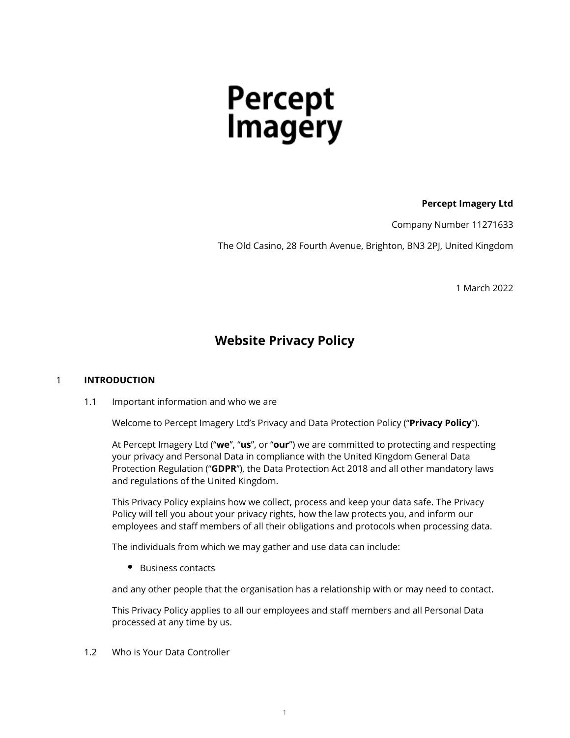# Percept<br>Imagery

# **Percept Imagery Ltd**

Company Number 11271633

The Old Casino, 28 Fourth Avenue, Brighton, BN3 2PJ, United Kingdom

1 March 2022

# **Website Privacy Policy**

# 1 **INTRODUCTION**

1.1 Important information and who we are

Welcome to Percept Imagery Ltd's Privacy and Data Protection Policy ("**Privacy Policy**").

At Percept Imagery Ltd ("**we**", "**us**", or "**our**") we are committed to protecting and respecting your privacy and Personal Data in compliance with the United Kingdom General Data Protection Regulation ("**GDPR**"), the Data Protection Act 2018 and all other mandatory laws and regulations of the United Kingdom.

This Privacy Policy explains how we collect, process and keep your data safe. The Privacy Policy will tell you about your privacy rights, how the law protects you, and inform our employees and staff members of all their obligations and protocols when processing data.

The individuals from which we may gather and use data can include:

• Business contacts

and any other people that the organisation has a relationship with or may need to contact.

This Privacy Policy applies to all our employees and staff members and all Personal Data processed at any time by us.

1.2 Who is Your Data Controller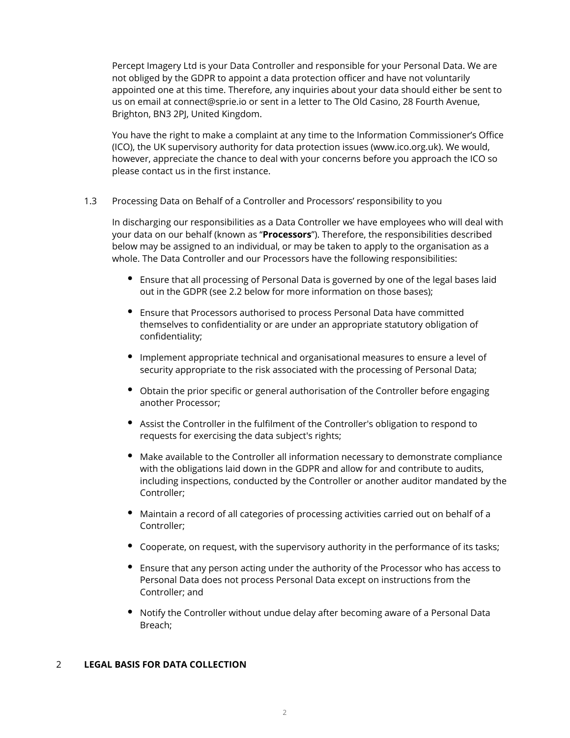Percept Imagery Ltd is your Data Controller and responsible for your Personal Data. We are not obliged by the GDPR to appoint a data protection officer and have not voluntarily appointed one at this time. Therefore, any inquiries about your data should either be sent to us on email at connect@sprie.io or sent in a letter to The Old Casino, 28 Fourth Avenue, Brighton, BN3 2PJ, United Kingdom.

You have the right to make a complaint at any time to the Information Commissioner's Office (ICO), the UK supervisory authority for data protection issues (www.ico.org.uk). We would, however, appreciate the chance to deal with your concerns before you approach the ICO so please contact us in the first instance.

1.3 Processing Data on Behalf of a Controller and Processors' responsibility to you

In discharging our responsibilities as a Data Controller we have employees who will deal with your data on our behalf (known as "**Processors**"). Therefore, the responsibilities described below may be assigned to an individual, or may be taken to apply to the organisation as a whole. The Data Controller and our Processors have the following responsibilities:

- Ensure that all processing of Personal Data is governed by one of the legal bases laid out in the GDPR (see 2.2 below for more information on those bases);
- Ensure that Processors authorised to process Personal Data have committed themselves to confidentiality or are under an appropriate statutory obligation of confidentiality;
- Implement appropriate technical and organisational measures to ensure a level of security appropriate to the risk associated with the processing of Personal Data;
- Obtain the prior specific or general authorisation of the Controller before engaging another Processor;
- Assist the Controller in the fulfilment of the Controller's obligation to respond to requests for exercising the data subject's rights;
- Make available to the Controller all information necessary to demonstrate compliance with the obligations laid down in the GDPR and allow for and contribute to audits, including inspections, conducted by the Controller or another auditor mandated by the Controller;
- Maintain a record of all categories of processing activities carried out on behalf of a Controller;
- Cooperate, on request, with the supervisory authority in the performance of its tasks;
- Ensure that any person acting under the authority of the Processor who has access to Personal Data does not process Personal Data except on instructions from the Controller; and
- Notify the Controller without undue delay after becoming aware of a Personal Data Breach;

#### 2 **LEGAL BASIS FOR DATA COLLECTION**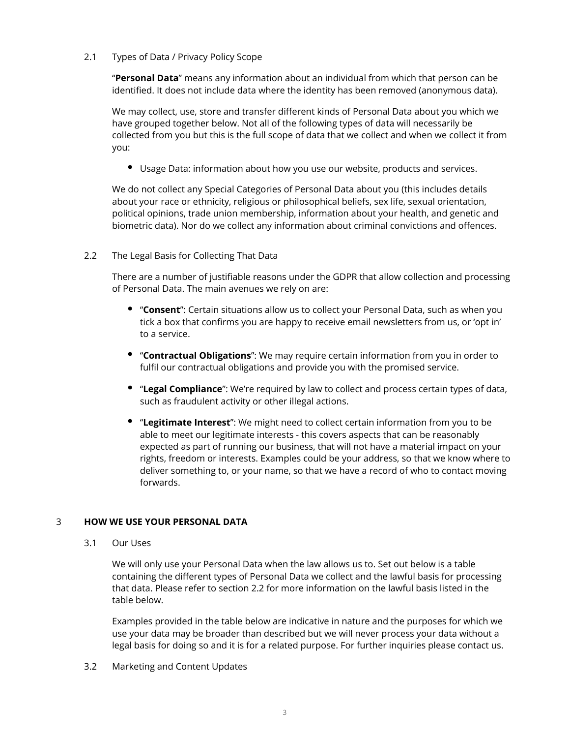#### 2.1 Types of Data / Privacy Policy Scope

"**Personal Data**" means any information about an individual from which that person can be identified. It does not include data where the identity has been removed (anonymous data).

We may collect, use, store and transfer different kinds of Personal Data about you which we have grouped together below. Not all of the following types of data will necessarily be collected from you but this is the full scope of data that we collect and when we collect it from you:

Usage Data: information about how you use our website, products and services.

We do not collect any Special Categories of Personal Data about you (this includes details about your race or ethnicity, religious or philosophical beliefs, sex life, sexual orientation, political opinions, trade union membership, information about your health, and genetic and biometric data). Nor do we collect any information about criminal convictions and offences.

# 2.2 The Legal Basis for Collecting That Data

There are a number of justifiable reasons under the GDPR that allow collection and processing of Personal Data. The main avenues we rely on are:

- "**Consent**": Certain situations allow us to collect your Personal Data, such as when you tick a box that confirms you are happy to receive email newsletters from us, or 'opt in' to a service.
- "**Contractual Obligations**": We may require certain information from you in order to fulfil our contractual obligations and provide you with the promised service.
- "**Legal Compliance**": We're required by law to collect and process certain types of data, such as fraudulent activity or other illegal actions.
- "**Legitimate Interest**": We might need to collect certain information from you to be able to meet our legitimate interests - this covers aspects that can be reasonably expected as part of running our business, that will not have a material impact on your rights, freedom or interests. Examples could be your address, so that we know where to deliver something to, or your name, so that we have a record of who to contact moving forwards.

# 3 **HOW WE USE YOUR PERSONAL DATA**

3.1 Our Uses

We will only use your Personal Data when the law allows us to. Set out below is a table containing the different types of Personal Data we collect and the lawful basis for processing that data. Please refer to section 2.2 for more information on the lawful basis listed in the table below.

Examples provided in the table below are indicative in nature and the purposes for which we use your data may be broader than described but we will never process your data without a legal basis for doing so and it is for a related purpose. For further inquiries please contact us.

3.2 Marketing and Content Updates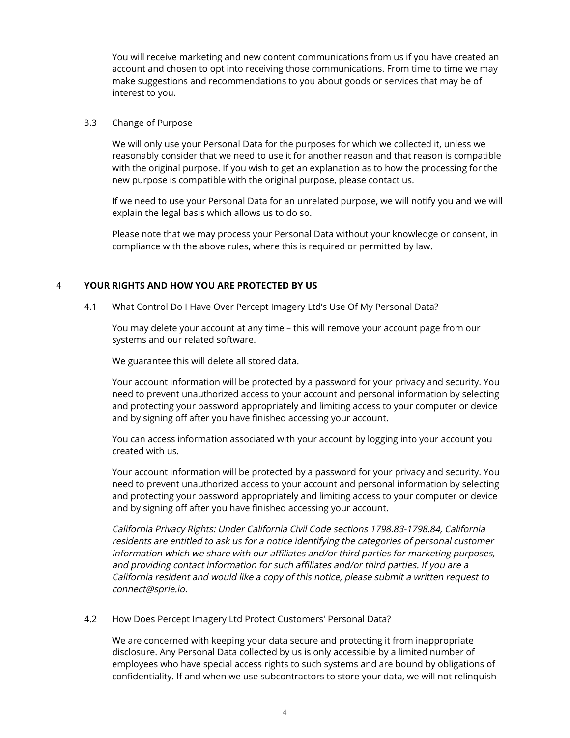You will receive marketing and new content communications from us if you have created an account and chosen to opt into receiving those communications. From time to time we may make suggestions and recommendations to you about goods or services that may be of interest to you.

#### 3.3 Change of Purpose

We will only use your Personal Data for the purposes for which we collected it, unless we reasonably consider that we need to use it for another reason and that reason is compatible with the original purpose. If you wish to get an explanation as to how the processing for the new purpose is compatible with the original purpose, please contact us.

If we need to use your Personal Data for an unrelated purpose, we will notify you and we will explain the legal basis which allows us to do so.

Please note that we may process your Personal Data without your knowledge or consent, in compliance with the above rules, where this is required or permitted by law.

# 4 **YOUR RIGHTS AND HOW YOU ARE PROTECTED BY US**

4.1 What Control Do I Have Over Percept Imagery Ltd's Use Of My Personal Data?

You may delete your account at any time – this will remove your account page from our systems and our related software.

We guarantee this will delete all stored data.

Your account information will be protected by a password for your privacy and security. You need to prevent unauthorized access to your account and personal information by selecting and protecting your password appropriately and limiting access to your computer or device and by signing off after you have finished accessing your account.

You can access information associated with your account by logging into your account you created with us.

Your account information will be protected by a password for your privacy and security. You need to prevent unauthorized access to your account and personal information by selecting and protecting your password appropriately and limiting access to your computer or device and by signing off after you have finished accessing your account.

California Privacy Rights: Under California Civil Code sections 1798.83-1798.84, California residents are entitled to ask us for a notice identifying the categories of personal customer information which we share with our affiliates and/or third parties for marketing purposes, and providing contact information for such affiliates and/or third parties. If you are a California resident and would like a copy of this notice, please submit a written request to connect@sprie.io.

#### 4.2 How Does Percept Imagery Ltd Protect Customers' Personal Data?

We are concerned with keeping your data secure and protecting it from inappropriate disclosure. Any Personal Data collected by us is only accessible by a limited number of employees who have special access rights to such systems and are bound by obligations of confidentiality. If and when we use subcontractors to store your data, we will not relinquish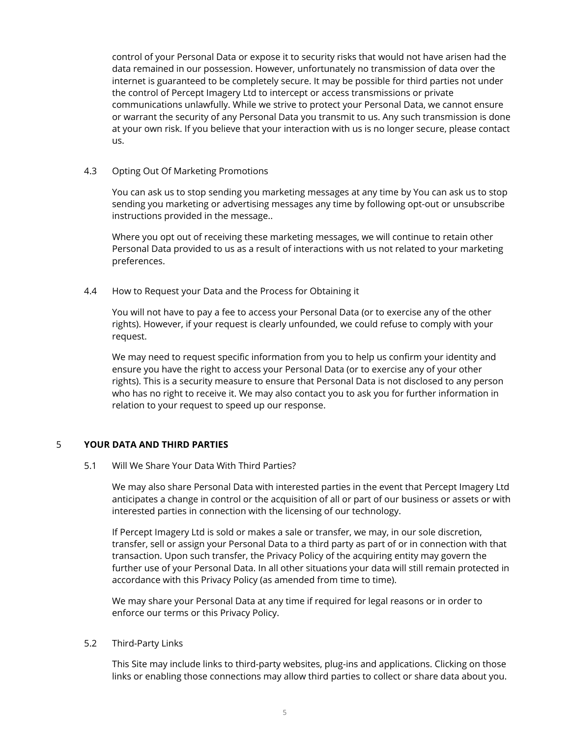control of your Personal Data or expose it to security risks that would not have arisen had the data remained in our possession. However, unfortunately no transmission of data over the internet is guaranteed to be completely secure. It may be possible for third parties not under the control of Percept Imagery Ltd to intercept or access transmissions or private communications unlawfully. While we strive to protect your Personal Data, we cannot ensure or warrant the security of any Personal Data you transmit to us. Any such transmission is done at your own risk. If you believe that your interaction with us is no longer secure, please contact us.

#### 4.3 Opting Out Of Marketing Promotions

You can ask us to stop sending you marketing messages at any time by You can ask us to stop sending you marketing or advertising messages any time by following opt-out or unsubscribe instructions provided in the message..

Where you opt out of receiving these marketing messages, we will continue to retain other Personal Data provided to us as a result of interactions with us not related to your marketing preferences.

# 4.4 How to Request your Data and the Process for Obtaining it

You will not have to pay a fee to access your Personal Data (or to exercise any of the other rights). However, if your request is clearly unfounded, we could refuse to comply with your request.

We may need to request specific information from you to help us confirm your identity and ensure you have the right to access your Personal Data (or to exercise any of your other rights). This is a security measure to ensure that Personal Data is not disclosed to any person who has no right to receive it. We may also contact you to ask you for further information in relation to your request to speed up our response.

# 5 **YOUR DATA AND THIRD PARTIES**

#### 5.1 Will We Share Your Data With Third Parties?

We may also share Personal Data with interested parties in the event that Percept Imagery Ltd anticipates a change in control or the acquisition of all or part of our business or assets or with interested parties in connection with the licensing of our technology.

If Percept Imagery Ltd is sold or makes a sale or transfer, we may, in our sole discretion, transfer, sell or assign your Personal Data to a third party as part of or in connection with that transaction. Upon such transfer, the Privacy Policy of the acquiring entity may govern the further use of your Personal Data. In all other situations your data will still remain protected in accordance with this Privacy Policy (as amended from time to time).

We may share your Personal Data at any time if required for legal reasons or in order to enforce our terms or this Privacy Policy.

#### 5.2 Third-Party Links

This Site may include links to third-party websites, plug-ins and applications. Clicking on those links or enabling those connections may allow third parties to collect or share data about you.